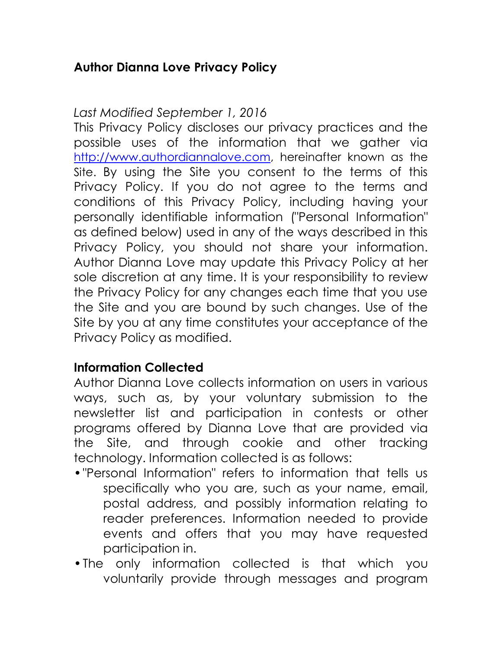# **Author Dianna Love Privacy Policy**

## *Last Modified September 1, 2016*

This Privacy Policy discloses our privacy practices and the possible uses of the information that we gather via [http://www.authordiannalove.com,](http://www.authordiannalove.com/) hereinafter known as the Site. By using the Site you consent to the terms of this Privacy Policy. If you do not agree to the terms and conditions of this Privacy Policy, including having your personally identifiable information ("Personal Information" as defined below) used in any of the ways described in this Privacy Policy, you should not share your information. Author Dianna Love may update this Privacy Policy at her sole discretion at any time. It is your responsibility to review the Privacy Policy for any changes each time that you use the Site and you are bound by such changes. Use of the Site by you at any time constitutes your acceptance of the Privacy Policy as modified.

## **Information Collected**

Author Dianna Love collects information on users in various ways, such as, by your voluntary submission to the newsletter list and participation in contests or other programs offered by Dianna Love that are provided via the Site, and through cookie and other tracking technology. Information collected is as follows:

- •"Personal Information" refers to information that tells us specifically who you are, such as your name, email, postal address, and possibly information relating to reader preferences. Information needed to provide events and offers that you may have requested participation in.
- •The only information collected is that which you voluntarily provide through messages and program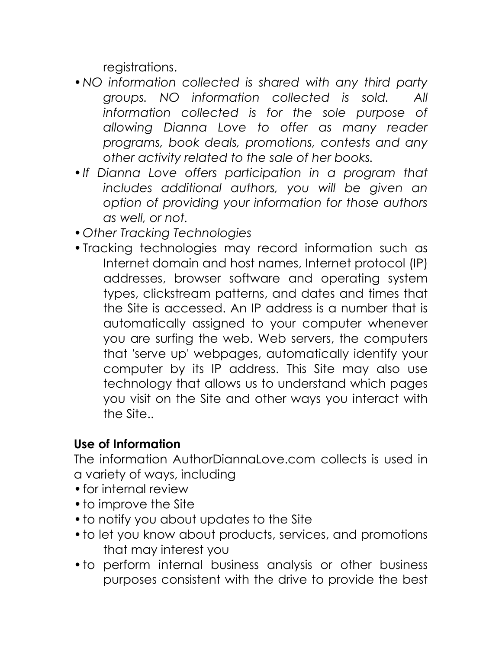registrations.

- •*NO information collected is shared with any third party groups. NO information collected is sold. All information collected is for the sole purpose of allowing Dianna Love to offer as many reader programs, book deals, promotions, contests and any other activity related to the sale of her books.*
- •*If Dianna Love offers participation in a program that includes additional authors, you will be given an option of providing your information for those authors as well, or not.*
- •*Other Tracking Technologies*
- •Tracking technologies may record information such as Internet domain and host names, Internet protocol (IP) addresses, browser software and operating system types, clickstream patterns, and dates and times that the Site is accessed. An IP address is a number that is automatically assigned to your computer whenever you are surfing the web. Web servers, the computers that 'serve up' webpages, automatically identify your computer by its IP address. This Site may also use technology that allows us to understand which pages you visit on the Site and other ways you interact with the Site..

# **Use of Information**

The information AuthorDiannaLove.com collects is used in a variety of ways, including

- •for internal review
- to improve the Site
- •to notify you about updates to the Site
- •to let you know about products, services, and promotions that may interest you
- •to perform internal business analysis or other business purposes consistent with the drive to provide the best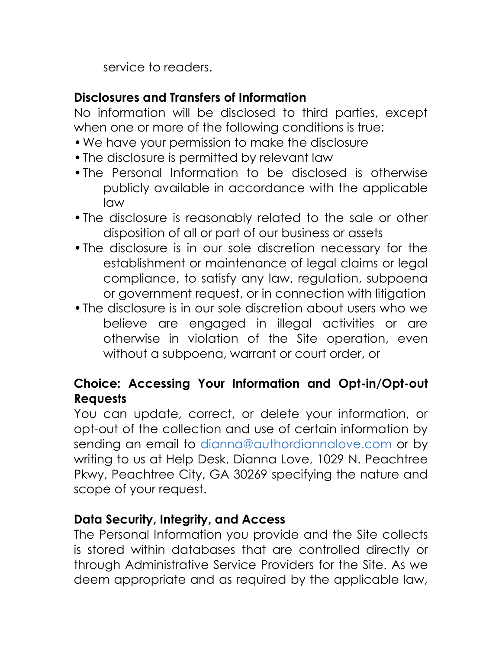service to readers.

## **Disclosures and Transfers of Information**

No information will be disclosed to third parties, except when one or more of the following conditions is true:

- •We have your permission to make the disclosure
- •The disclosure is permitted by relevant law
- •The Personal Information to be disclosed is otherwise publicly available in accordance with the applicable law
- •The disclosure is reasonably related to the sale or other disposition of all or part of our business or assets
- •The disclosure is in our sole discretion necessary for the establishment or maintenance of legal claims or legal compliance, to satisfy any law, regulation, subpoena or government request, or in connection with litigation
- •The disclosure is in our sole discretion about users who we believe are engaged in illegal activities or are otherwise in violation of the Site operation, even without a subpoena, warrant or court order, or

# **Choice: Accessing Your Information and Opt-in/Opt-out Requests**

You can update, correct, or delete your information, or opt-out of the collection and use of certain information by sending an email to dianna@authordiannalove.com or by writing to us at Help Desk, Dianna Love, 1029 N. Peachtree Pkwy, Peachtree City, GA 30269 specifying the nature and scope of your request.

## **Data Security, Integrity, and Access**

The Personal Information you provide and the Site collects is stored within databases that are controlled directly or through Administrative Service Providers for the Site. As we deem appropriate and as required by the applicable law,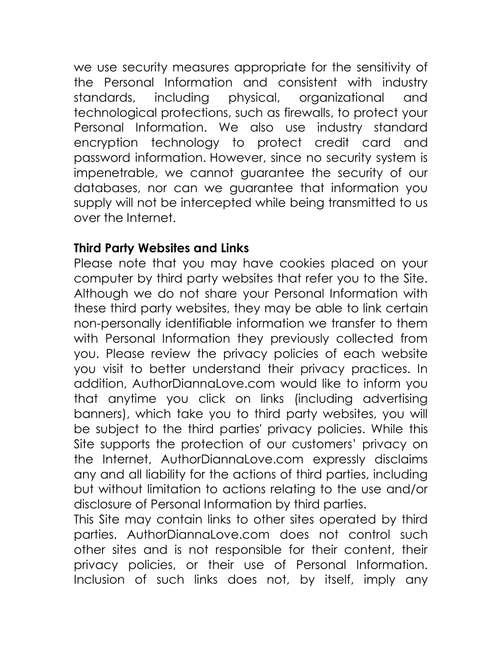we use security measures appropriate for the sensitivity of the Personal Information and consistent with industry standards, including physical, organizational and technological protections, such as firewalls, to protect your Personal Information. We also use industry standard encryption technology to protect credit card and password information. However, since no security system is impenetrable, we cannot guarantee the security of our databases, nor can we guarantee that information you supply will not be intercepted while being transmitted to us over the Internet.

## **Third Party Websites and Links**

Please note that you may have cookies placed on your computer by third party websites that refer you to the Site. Although we do not share your Personal Information with these third party websites, they may be able to link certain non-personally identifiable information we transfer to them with Personal Information they previously collected from you. Please review the privacy policies of each website you visit to better understand their privacy practices. In addition, AuthorDiannaLove.com would like to inform you that anytime you click on links (including advertising banners), which take you to third party websites, you will be subject to the third parties' privacy policies. While this Site supports the protection of our customers' privacy on the Internet, AuthorDiannaLove.com expressly disclaims any and all liability for the actions of third parties, including but without limitation to actions relating to the use and/or disclosure of Personal Information by third parties.

This Site may contain links to other sites operated by third parties. AuthorDiannaLove.com does not control such other sites and is not responsible for their content, their privacy policies, or their use of Personal Information. Inclusion of such links does not, by itself, imply any